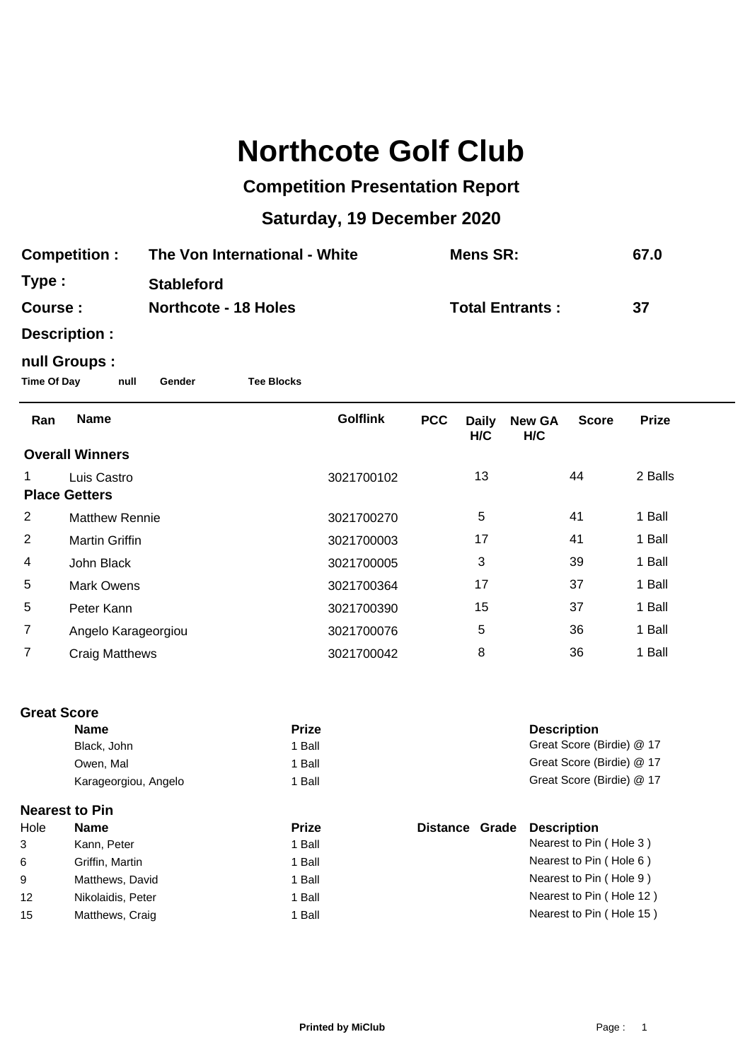## **Northcote Golf Club**

## **Competition Presentation Report**

## **Saturday, 19 December 2020**

| <b>Competition:</b> |                        | The Von International - White |                             |                 | <b>Mens SR:</b> |                     |                        | 67.0         |              |
|---------------------|------------------------|-------------------------------|-----------------------------|-----------------|-----------------|---------------------|------------------------|--------------|--------------|
| Type :              |                        | <b>Stableford</b>             |                             |                 |                 |                     |                        |              |              |
| Course:             |                        |                               | <b>Northcote - 18 Holes</b> |                 |                 |                     | <b>Total Entrants:</b> |              | 37           |
|                     | Description :          |                               |                             |                 |                 |                     |                        |              |              |
| <b>Time Of Day</b>  | null Groups :<br>null  | Gender                        | <b>Tee Blocks</b>           |                 |                 |                     |                        |              |              |
| Ran                 | <b>Name</b>            |                               |                             | <b>Golflink</b> | <b>PCC</b>      | <b>Daily</b><br>H/C | <b>New GA</b><br>H/C   | <b>Score</b> | <b>Prize</b> |
|                     | <b>Overall Winners</b> |                               |                             |                 |                 |                     |                        |              |              |
| 1                   | Luis Castro            |                               |                             | 3021700102      |                 | 13                  |                        | 44           | 2 Balls      |
|                     | <b>Place Getters</b>   |                               |                             |                 |                 |                     |                        |              |              |
| $\overline{c}$      | <b>Matthew Rennie</b>  |                               |                             | 3021700270      |                 | 5                   |                        | 41           | 1 Ball       |
| $\overline{c}$      | <b>Martin Griffin</b>  |                               |                             | 3021700003      |                 | 17                  |                        | 41           | 1 Ball       |
| 4                   | John Black             |                               |                             | 3021700005      |                 | 3                   |                        | 39           | 1 Ball       |
| 5                   | <b>Mark Owens</b>      |                               |                             | 3021700364      |                 | 17                  |                        | 37           | 1 Ball       |
| 5                   | Peter Kann             |                               |                             | 3021700390      |                 | 15                  |                        | 37           | 1 Ball       |
| $\overline{7}$      | Angelo Karageorgiou    |                               |                             | 3021700076      |                 | 5                   |                        | 36           | 1 Ball       |
| $\overline{7}$      | Craig Matthews         |                               |                             | 3021700042      |                 | 8                   |                        | 36           | 1 Ball       |

|                   | <b>Name</b>           | <b>Prize</b> | <b>Description</b>    |                           |  |
|-------------------|-----------------------|--------------|-----------------------|---------------------------|--|
|                   | Black, John           | 1 Ball       |                       |                           |  |
|                   | Owen, Mal             | 1 Ball       |                       | Great Score (Birdie) @ 17 |  |
|                   | Karageorgiou, Angelo  | 1 Ball       |                       | Great Score (Birdie) @ 17 |  |
|                   | <b>Nearest to Pin</b> |              |                       |                           |  |
| Hole              | <b>Name</b>           | <b>Prize</b> | <b>Distance Grade</b> | <b>Description</b>        |  |
| 3                 | Kann, Peter           | 1 Ball       |                       | Nearest to Pin (Hole 3)   |  |
| 6                 | Griffin, Martin       | 1 Ball       |                       | Nearest to Pin (Hole 6)   |  |
| 9                 | Matthews, David       | 1 Ball       |                       | Nearest to Pin (Hole 9)   |  |
| $12 \overline{ }$ | Nikolaidis, Peter     | 1 Ball       |                       | Nearest to Pin (Hole 12)  |  |
| 15                | Matthews, Craig       | 1 Ball       |                       | Nearest to Pin (Hole 15)  |  |